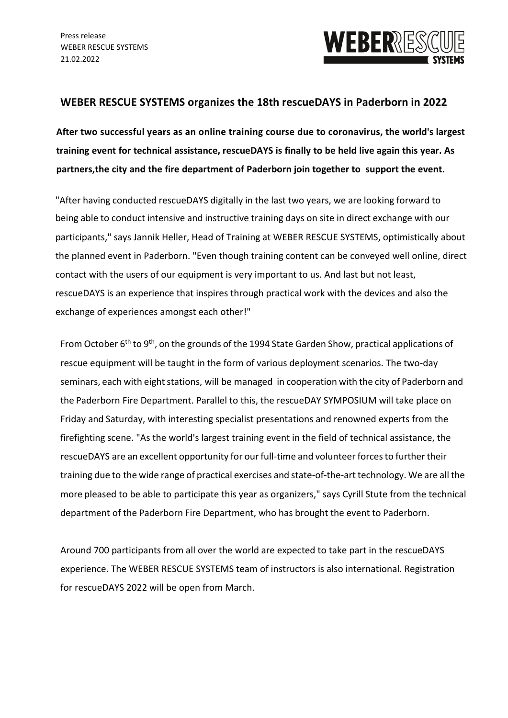

## **WEBER RESCUE SYSTEMS organizes the 18th rescueDAYS in Paderborn in 2022**

**After two successful years as an online training course due to coronavirus, the world's largest training event for technical assistance, rescueDAYS is finally to be held live again this year. As partners,the city and the fire department of Paderborn join together to support the event.**

"After having conducted rescueDAYS digitally in the last two years, we are looking forward to being able to conduct intensive and instructive training days on site in direct exchange with our participants," says Jannik Heller, Head of Training at WEBER RESCUE SYSTEMS, optimistically about the planned event in Paderborn. "Even though training content can be conveyed well online, direct contact with the users of our equipment is very important to us. And last but not least, rescueDAYS is an experience that inspires through practical work with the devices and also the exchange of experiences amongst each other!"

From October  $6<sup>th</sup>$  to  $9<sup>th</sup>$ , on the grounds of the 1994 State Garden Show, practical applications of rescue equipment will be taught in the form of various deployment scenarios. The two-day seminars, each with eight stations, will be managed in cooperation with the city of Paderborn and the Paderborn Fire Department. Parallel to this, the rescueDAY SYMPOSIUM will take place on Friday and Saturday, with interesting specialist presentations and renowned experts from the firefighting scene. "As the world's largest training event in the field of technical assistance, the rescueDAYS are an excellent opportunity for our full-time and volunteer forces to further their training due to the wide range of practical exercises and state-of-the-art technology. We are all the more pleased to be able to participate this year as organizers," says Cyrill Stute from the technical department of the Paderborn Fire Department, who has brought the event to Paderborn.

Around 700 participants from all over the world are expected to take part in the rescueDAYS experience. The WEBER RESCUE SYSTEMS team of instructors is also international. Registration for rescueDAYS 2022 will be open from March.